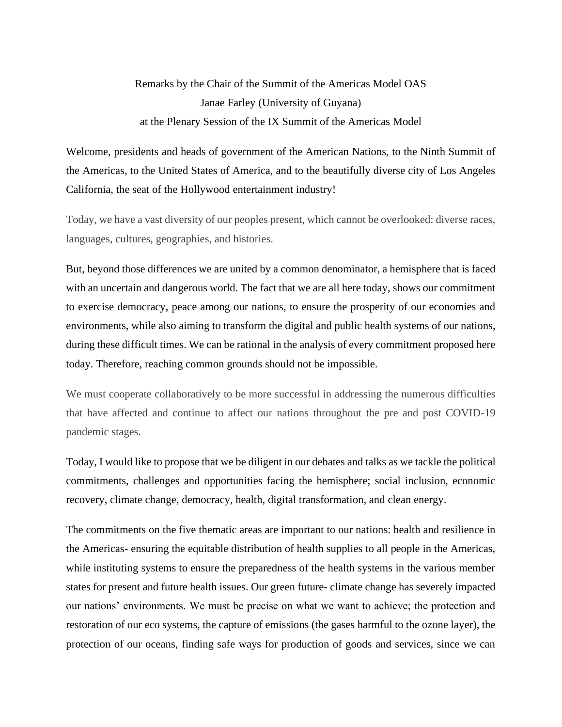## Remarks by the Chair of the Summit of the Americas Model OAS Janae Farley (University of Guyana) at the Plenary Session of the IX Summit of the Americas Model

Welcome, presidents and heads of government of the American Nations, to the Ninth Summit of the Americas, to the United States of America, and to the beautifully diverse city of Los Angeles California, the seat of the Hollywood entertainment industry!

Today, we have a vast diversity of our peoples present, which cannot be overlooked: diverse races, languages, cultures, geographies, and histories.

But, beyond those differences we are united by a common denominator, a hemisphere that is faced with an uncertain and dangerous world. The fact that we are all here today, shows our commitment to exercise democracy, peace among our nations, to ensure the prosperity of our economies and environments, while also aiming to transform the digital and public health systems of our nations, during these difficult times. We can be rational in the analysis of every commitment proposed here today. Therefore, reaching common grounds should not be impossible.

We must cooperate collaboratively to be more successful in addressing the numerous difficulties that have affected and continue to affect our nations throughout the pre and post COVID-19 pandemic stages.

Today, I would like to propose that we be diligent in our debates and talks as we tackle the political commitments, challenges and opportunities facing the hemisphere; social inclusion, economic recovery, climate change, democracy, health, digital transformation, and clean energy.

The commitments on the five thematic areas are important to our nations: health and resilience in the Americas- ensuring the equitable distribution of health supplies to all people in the Americas, while instituting systems to ensure the preparedness of the health systems in the various member states for present and future health issues. Our green future- climate change has severely impacted our nations' environments. We must be precise on what we want to achieve; the protection and restoration of our eco systems, the capture of emissions (the gases harmful to the ozone layer), the protection of our oceans, finding safe ways for production of goods and services, since we can